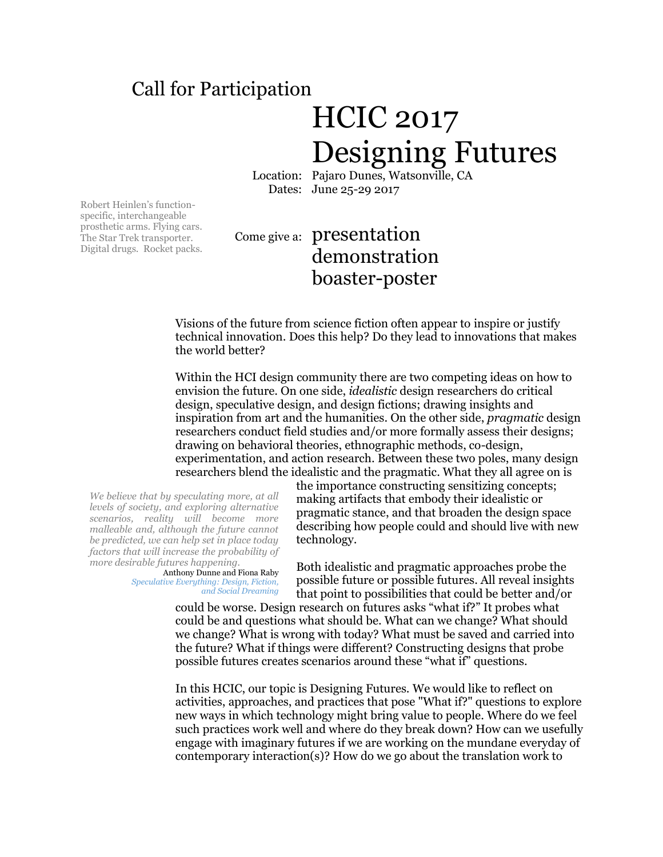## Call for Participation

## HCIC 2017 Designing Futures

Location: Pajaro Dunes, Watsonville, CA Dates: June 25-29 2017

Robert Heinlen's functionspecific, interchangeable prosthetic arms. Flying cars. The Star Trek transporter. Digital drugs. Rocket packs.

## Come give a: presentation demonstration boaster-poster

Visions of the future from science fiction often appear to inspire or justify technical innovation. Does this help? Do they lead to innovations that makes the world better?

Within the HCI design community there are two competing ideas on how to envision the future. On one side, *idealistic* design researchers do critical design, speculative design, and design fictions; drawing insights and inspiration from art and the humanities. On the other side, *pragmatic* design researchers conduct field studies and/or more formally assess their designs; drawing on behavioral theories, ethnographic methods, co-design, experimentation, and action research. Between these two poles, many design researchers blend the idealistic and the pragmatic. What they all agree on is

*We believe that by speculating more, at all levels of society, and exploring alternative scenarios, reality will become more malleable and, although the future cannot be predicted, we can help set in place today factors that will increase the probability of more desirable futures happening.*

Anthony Dunne and Fiona Raby *Speculative Everything: Design, Fiction, and Social Dreaming*

the importance constructing sensitizing concepts; making artifacts that embody their idealistic or pragmatic stance, and that broaden the design space describing how people could and should live with new technology.

Both idealistic and pragmatic approaches probe the possible future or possible futures. All reveal insights that point to possibilities that could be better and/or

could be worse. Design research on futures asks "what if?" It probes what could be and questions what should be. What can we change? What should we change? What is wrong with today? What must be saved and carried into the future? What if things were different? Constructing designs that probe possible futures creates scenarios around these "what if" questions.

In this HCIC, our topic is Designing Futures. We would like to reflect on activities, approaches, and practices that pose "What if?" questions to explore new ways in which technology might bring value to people. Where do we feel such practices work well and where do they break down? How can we usefully engage with imaginary futures if we are working on the mundane everyday of contemporary interaction(s)? How do we go about the translation work to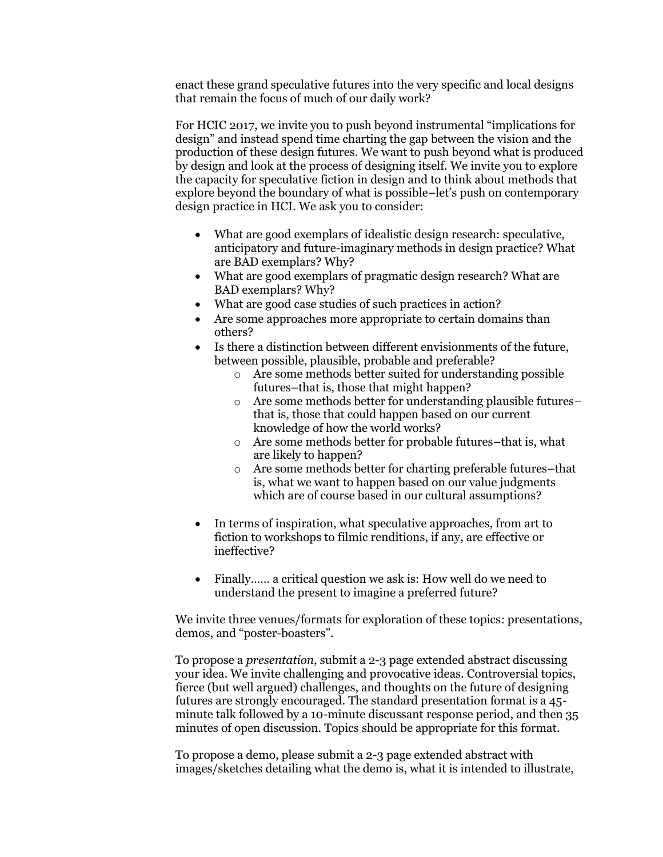enact these grand speculative futures into the very specific and local designs that remain the focus of much of our daily work?

For HCIC 2017, we invite you to push beyond instrumental "implications for design" and instead spend time charting the gap between the vision and the production of these design futures. We want to push beyond what is produced by design and look at the process of designing itself. We invite you to explore the capacity for speculative fiction in design and to think about methods that explore beyond the boundary of what is possible–let's push on contemporary design practice in HCI. We ask you to consider:

- What are good exemplars of idealistic design research: speculative, anticipatory and future-imaginary methods in design practice? What are BAD exemplars? Why?
- What are good exemplars of pragmatic design research? What are BAD exemplars? Why?
- What are good case studies of such practices in action?
- Are some approaches more appropriate to certain domains than others?
- Is there a distinction between different envisionments of the future, between possible, plausible, probable and preferable?
	- o Are some methods better suited for understanding possible futures–that is, those that might happen?
	- o Are some methods better for understanding plausible futures– that is, those that could happen based on our current knowledge of how the world works?
	- o Are some methods better for probable futures–that is, what are likely to happen?
	- o Are some methods better for charting preferable futures–that is, what we want to happen based on our value judgments which are of course based in our cultural assumptions?
- In terms of inspiration, what speculative approaches, from art to fiction to workshops to filmic renditions, if any, are effective or ineffective?
- Finally ...... a critical question we ask is: How well do we need to understand the present to imagine a preferred future?

We invite three venues/formats for exploration of these topics: presentations, demos, and "poster-boasters".

To propose a *presentation*, submit a 2-3 page extended abstract discussing your idea. We invite challenging and provocative ideas. Controversial topics, fierce (but well argued) challenges, and thoughts on the future of designing futures are strongly encouraged. The standard presentation format is a 45 minute talk followed by a 10-minute discussant response period, and then 35 minutes of open discussion. Topics should be appropriate for this format.

To propose a demo, please submit a 2-3 page extended abstract with images/sketches detailing what the demo is, what it is intended to illustrate,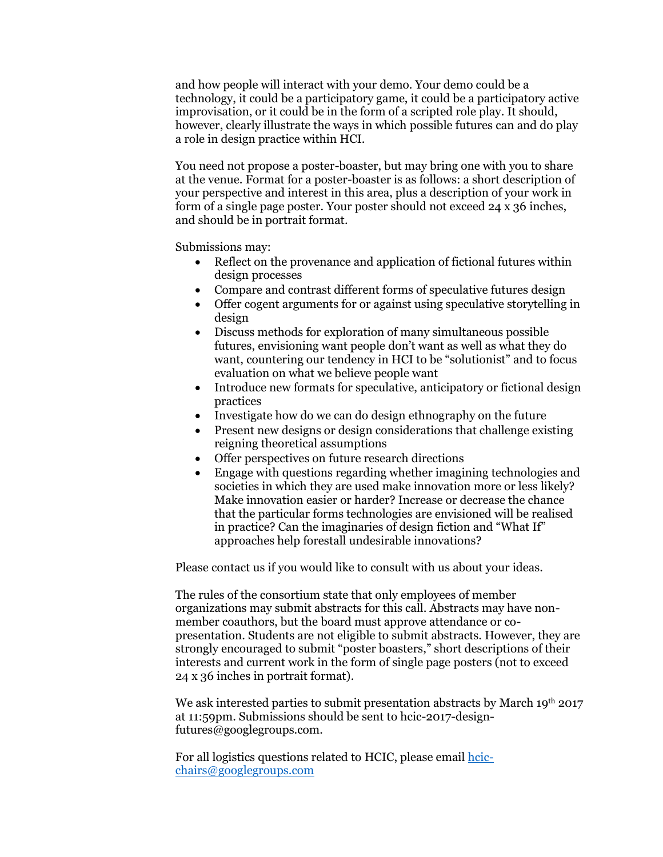and how people will interact with your demo. Your demo could be a technology, it could be a participatory game, it could be a participatory active improvisation, or it could be in the form of a scripted role play. It should, however, clearly illustrate the ways in which possible futures can and do play a role in design practice within HCI.

You need not propose a poster-boaster, but may bring one with you to share at the venue. Format for a poster-boaster is as follows: a short description of your perspective and interest in this area, plus a description of your work in form of a single page poster. Your poster should not exceed 24 x 36 inches, and should be in portrait format.

Submissions may:

- Reflect on the provenance and application of fictional futures within design processes
- Compare and contrast different forms of speculative futures design
- Offer cogent arguments for or against using speculative storytelling in design
- Discuss methods for exploration of many simultaneous possible futures, envisioning want people don't want as well as what they do want, countering our tendency in HCI to be "solutionist" and to focus evaluation on what we believe people want
- Introduce new formats for speculative, anticipatory or fictional design practices
- Investigate how do we can do design ethnography on the future
- Present new designs or design considerations that challenge existing reigning theoretical assumptions
- Offer perspectives on future research directions
- Engage with questions regarding whether imagining technologies and societies in which they are used make innovation more or less likely? Make innovation easier or harder? Increase or decrease the chance that the particular forms technologies are envisioned will be realised in practice? Can the imaginaries of design fiction and "What If" approaches help forestall undesirable innovations?

Please contact us if you would like to consult with us about your ideas.

The rules of the consortium state that only employees of member organizations may submit abstracts for this call. Abstracts may have nonmember coauthors, but the board must approve attendance or copresentation. Students are not eligible to submit abstracts. However, they are strongly encouraged to submit "poster boasters," short descriptions of their interests and current work in the form of single page posters (not to exceed 24 x 36 inches in portrait format).

We ask interested parties to submit presentation abstracts by March 19th 2017 at 11:59pm. Submissions should be sent to hcic-2017-designfutures@googlegroups.com.

For all logistics questions related to HCIC, please email [hcic](mailto:hcic-chairs@googlegroups.com)[chairs@googlegroups.com](mailto:hcic-chairs@googlegroups.com)